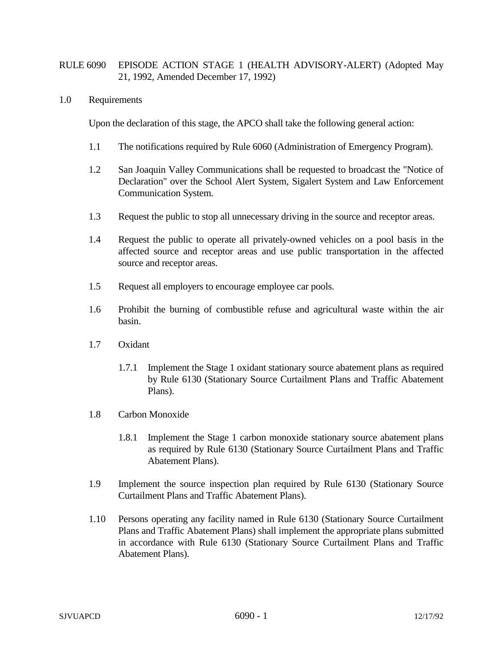## RULE 6090 EPISODE ACTION STAGE 1 (HEALTH ADVISORY-ALERT) (Adopted May 21, 1992, Amended December 17, 1992)

## 1.0 Requirements

Upon the declaration of this stage, the APCO shall take the following general action:

- 1.1 The notifications required by Rule 6060 (Administration of Emergency Program).
- 1.2 San Joaquin Valley Communications shall be requested to broadcast the "Notice of Declaration" over the School Alert System, Sigalert System and Law Enforcement Communication System.
- 1.3 Request the public to stop all unnecessary driving in the source and receptor areas.
- 1.4 Request the public to operate all privately-owned vehicles on a pool basis in the affected source and receptor areas and use public transportation in the affected source and receptor areas.
- 1.5 Request all employers to encourage employee car pools.
- 1.6 Prohibit the burning of combustible refuse and agricultural waste within the air basin.
- 1.7 Oxidant
	- 1.7.1 Implement the Stage 1 oxidant stationary source abatement plans as required by Rule 6130 (Stationary Source Curtailment Plans and Traffic Abatement Plans).
- 1.8 Carbon Monoxide
	- 1.8.1 Implement the Stage 1 carbon monoxide stationary source abatement plans as required by Rule 6130 (Stationary Source Curtailment Plans and Traffic Abatement Plans).
- 1.9 Implement the source inspection plan required by Rule 6130 (Stationary Source Curtailment Plans and Traffic Abatement Plans).
- 1.10 Persons operating any facility named in Rule 6130 (Stationary Source Curtailment Plans and Traffic Abatement Plans) shall implement the appropriate plans submitted in accordance with Rule 6130 (Stationary Source Curtailment Plans and Traffic Abatement Plans).